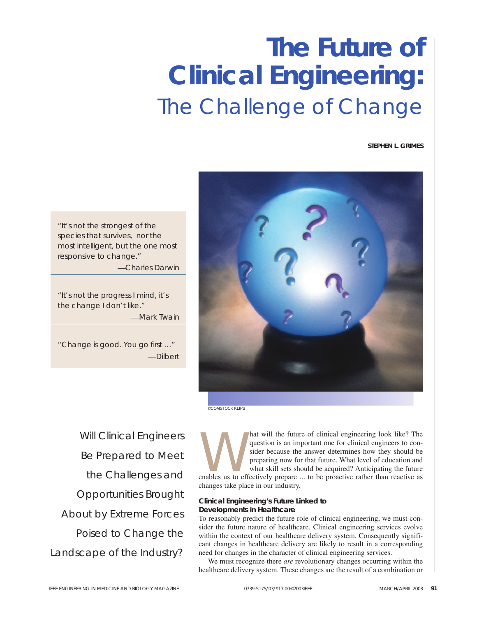# **The Future of Clinical Engineering:** The Challenge of Change

**STEPHEN L. GRIMES**

*"It's not the strongest of the species that survives, nor the most intelligent, but the one most responsive to change."*

*Charles Darwin*

*"It's not the progress I mind, it's the change I don't like." Mark Twain*

*"Change is good. You go first …" Dilbert*



*Will Clinical Engineers Be Prepared to Meet the Challenges and Opportunities Brought About by Extreme Forces Poised to Change the Landscape of the Industry?*

hat will the future of clinical engineering look like? The<br>question is an important one for clinical engineers to con-<br>sider because the answer determines how they should be<br>preparing now for that future. What level of edu question is an important one for clinical engineers to consider because the answer determines how they should be preparing now for that future. What level of education and what skill sets should be acquired? Anticipating the future changes take place in our industry.

#### **Clinical Engineering's Future Linked to Developments in Healthcare**

To reasonably predict the future role of clinical engineering, we must consider the future nature of healthcare. Clinical engineering services evolve within the context of our healthcare delivery system. Consequently significant changes in healthcare delivery are likely to result in a corresponding need for changes in the character of clinical engineering services.

We must recognize there *are* revolutionary changes occurring within the healthcare delivery system. These changes are the result of a combination or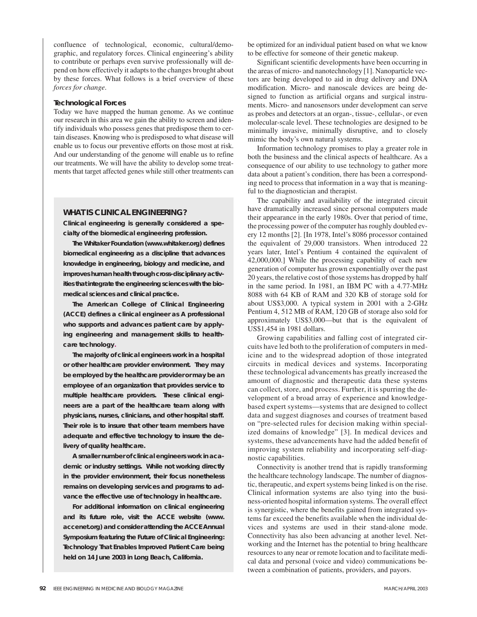confluence of technological, economic, cultural/demographic, and regulatory forces. Clinical engineering's ability to contribute or perhaps even survive professionally will depend on how effectively it adapts to the changes brought about by these forces. What follows is a brief overview of these *forces for change*.

#### **Technological Forces**

Today we have mapped the human genome. As we continue our research in this area we gain the ability to screen and identify individuals who possess genes that predispose them to certain diseases. Knowing who is predisposed to what disease will enable us to focus our preventive efforts on those most at risk. And our understanding of the genome will enable us to refine our treatments. We will have the ability to develop some treatments that target affected genes while still other treatments can

#### **WHAT IS CLINICAL ENGINEERING?**

**Clinical engineering is generally considered a specialty of the biomedical engineering profession.**

**The Whitaker Foundation (www.whitaker.org) defines biomedical engineering as** *a discipline that advances knowledge in engineering, biology and medicine, and improves human health through cross-disciplinary activities that integrate the engineering sciences with the biomedical sciences and clinical practice.*

**The American College of Clinical Engineering (ACCE) defines a clinical engineer as** *A professional who supports and advances patient care by applying engineering and management skills to healthcare technology.*

**The majority of clinical engineers work in a hospital or other healthcare provider environment. They may be employed by the healthcare provider or may be an employee of an organization that provides service to multiple healthcare providers. These clinical engineers are a part of the healthcare team along with physicians, nurses, clinicians, and other hospital staff. Their role is to insure that other team members have adequate and effective technology to insure the delivery of quality healthcare.**

**A smaller number of clinical engineers work in academic or industry settings. While not working directly in the provider environment, their focus nonetheless remains on developing services and programs to advance the effective use of technology in healthcare.**

**For additional information on clinical engineering and its future role, visit the ACCE website (www. accenet.org) and consider attending the ACCE Annual Symposium featuring the** *Future of Clinical Engineering: Technology That Enables Improved Patient Care* **being held on 14 June 2003 in Long Beach, California.**

be optimized for an individual patient based on what we know to be effective for someone of their genetic makeup.

Significant scientific developments have been occurring in the areas of micro- and nanotechnology [1]. Nanoparticle vectors are being developed to aid in drug delivery and DNA modification. Micro- and nanoscale devices are being designed to function as artificial organs and surgical instruments. Micro- and nanosensors under development can serve as probes and detectors at an organ-, tissue-, cellular-, or even molecular-scale level. These technologies are designed to be minimally invasive, minimally disruptive, and to closely mimic the body's own natural systems.

Information technology promises to play a greater role in both the business and the clinical aspects of healthcare. As a consequence of our ability to use technology to gather more data about a patient's condition, there has been a corresponding need to process that information in a way that is meaningful to the diagnostician and therapist.

The capability and availability of the integrated circuit have dramatically increased since personal computers made their appearance in the early 1980s. Over that period of time, the processing power of the computer has roughly doubled every 12 months [2]. [In 1978, Intel's 8086 processor contained the equivalent of 29,000 transistors. When introduced 22 years later, Intel's Pentium 4 contained the equivalent of 42,000,000.] While the processing capability of each new generation of computer has grown exponentially over the past 20 years, the relative cost of those systems has dropped by half in the same period. In 1981, an IBM PC with a 4.77-MHz 8088 with 64 KB of RAM and 320 KB of storage sold for about US\$3,000. A typical system in 2001 with a 2-GHz Pentium 4, 512 MB of RAM, 120 GB of storage also sold for approximately US\$3,000—but that is the equivalent of US\$1,454 in 1981 dollars.

Growing capabilities and falling cost of integrated circuits have led both to the proliferation of computers in medicine and to the widespread adoption of those integrated circuits in medical devices and systems. Incorporating these technological advancements has greatly increased the amount of diagnostic and therapeutic data these systems can collect, store, and process. Further, it is spurring the development of a broad array of experience and knowledgebased expert systems—systems that are designed to collect data and suggest diagnoses and courses of treatment based on "pre-selected rules for decision making within specialized domains of knowledge" [3]. In medical devices and systems, these advancements have had the added benefit of improving system reliability and incorporating self-diagnostic capabilities.

Connectivity is another trend that is rapidly transforming the healthcare technology landscape. The number of diagnostic, therapeutic, and expert systems being linked is on the rise. Clinical information systems are also tying into the business-oriented hospital information systems. The overall effect is synergistic, where the benefits gained from integrated systems far exceed the benefits available when the individual devices and systems are used in their stand-alone mode. Connectivity has also been advancing at another level. Networking and the Internet has the potential to bring healthcare resources to any near or remote location and to facilitate medical data and personal (voice and video) communications between a combination of patients, providers, and payors.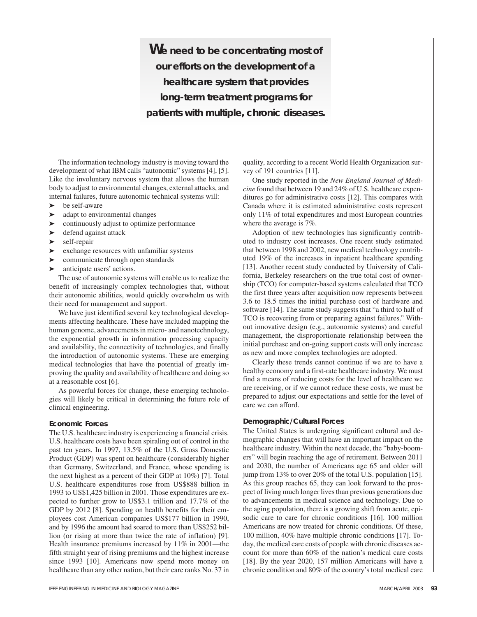### **We need to be concentrating most of our efforts on the development of a healthcare system that provides long-term treatment programs for patients with multiple, chronic diseases.**

The information technology industry is moving toward the development of what IBM calls "autonomic" systems [4], [5]. Like the involuntary nervous system that allows the human body to adjust to environmental changes, external attacks, and internal failures, future autonomic technical systems will:

- ► be self-aware
- ➤ adapt to environmental changes
- ➤ continuously adjust to optimize performance
- ➤ defend against attack
- ➤ self-repair
- ➤ exchange resources with unfamiliar systems
- ➤ communicate through open standards
- anticipate users' actions.

The use of autonomic systems will enable us to realize the benefit of increasingly complex technologies that, without their autonomic abilities, would quickly overwhelm us with their need for management and support.

We have just identified several key technological developments affecting healthcare. These have included mapping the human genome, advancements in micro- and nanotechnology, the exponential growth in information processing capacity and availability, the connectivity of technologies, and finally the introduction of autonomic systems. These are emerging medical technologies that have the potential of greatly improving the quality and availability of healthcare and doing so at a reasonable cost [6].

As powerful forces for change, these emerging technologies will likely be critical in determining the future role of clinical engineering.

#### **Economic Forces**

The U.S. healthcare industry is experiencing a financial crisis. U.S. healthcare costs have been spiraling out of control in the past ten years. In 1997, 13.5% of the U.S. Gross Domestic Product (GDP) was spent on healthcare (considerably higher than Germany, Switzerland, and France, whose spending is the next highest as a percent of their GDP at 10%) [7]. Total U.S. healthcare expenditures rose from US\$888 billion in 1993 to US\$1,425 billion in 2001. Those expenditures are expected to further grow to US\$3.1 trillion and 17.7% of the GDP by 2012 [8]. Spending on health benefits for their employees cost American companies US\$177 billion in 1990, and by 1996 the amount had soared to more than US\$252 billion (or rising at more than twice the rate of inflation) [9]. Health insurance premiums increased by 11% in 2001—the fifth straight year of rising premiums and the highest increase since 1993 [10]. Americans now spend more money on healthcare than any other nation, but their care ranks No. 37 in

quality, according to a recent World Health Organization survey of 191 countries [11].

One study reported in the *New England Journal of Medicine* found that between 19 and 24% of U.S. healthcare expenditures go for administrative costs [12]. This compares with Canada where it is estimated administrative costs represent only 11% of total expenditures and most European countries where the average is 7%.

Adoption of new technologies has significantly contributed to industry cost increases. One recent study estimated that between 1998 and 2002, new medical technology contributed 19% of the increases in inpatient healthcare spending [13]. Another recent study conducted by University of California, Berkeley researchers on the true total cost of ownership (TCO) for computer-based systems calculated that TCO the first three years after acquisition now represents between 3.6 to 18.5 times the initial purchase cost of hardware and software [14]. The same study suggests that "a third to half of TCO is recovering from or preparing against failures." Without innovative design (e.g., autonomic systems) and careful management, the disproportionate relationship between the initial purchase and on-going support costs will only increase as new and more complex technologies are adopted.

Clearly these trends cannot continue if we are to have a healthy economy and a first-rate healthcare industry. We must find a means of reducing costs for the level of healthcare we are receiving, or if we cannot reduce these costs, we must be prepared to adjust our expectations and settle for the level of care we can afford.

#### **Demographic/Cultural Forces**

The United States is undergoing significant cultural and demographic changes that will have an important impact on the healthcare industry. Within the next decade, the "baby-boomers" will begin reaching the age of retirement. Between 2011 and 2030, the number of Americans age 65 and older will jump from 13% to over 20% of the total U.S. population [15]. As this group reaches 65, they can look forward to the prospect of living much longer lives than previous generations due to advancements in medical science and technology. Due to the aging population, there is a growing shift from acute, episodic care to care for chronic conditions [16]. 100 million Americans are now treated for chronic conditions. Of these, 100 million, 40% have multiple chronic conditions [17]. Today, the medical care costs of people with chronic diseases account for more than 60% of the nation's medical care costs [18]. By the year 2020, 157 million Americans will have a chronic condition and 80% of the country's total medical care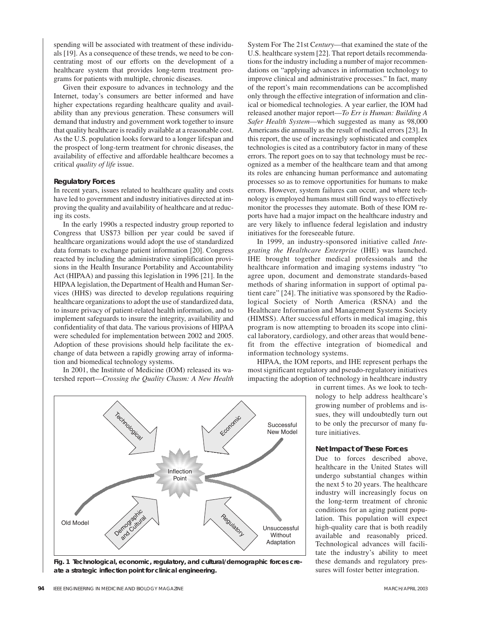spending will be associated with treatment of these individuals [19]. As a consequence of these trends, we need to be concentrating most of our efforts on the development of a healthcare system that provides long-term treatment programs for patients with multiple, chronic diseases.

Given their exposure to advances in technology and the Internet, today's consumers are better informed and have higher expectations regarding healthcare quality and availability than any previous generation. These consumers will demand that industry and government work together to insure that quality healthcare is readily available at a reasonable cost. As the U.S. population looks forward to a longer lifespan and the prospect of long-term treatment for chronic diseases, the availability of effective and affordable healthcare becomes a critical *quality of life* issue.

#### **Regulatory Forces**

In recent years, issues related to healthcare quality and costs have led to government and industry initiatives directed at improving the quality and availability of healthcare and at reducing its costs.

In the early 1990s a respected industry group reported to Congress that US\$73 billion per year could be saved if healthcare organizations would adopt the use of standardized data formats to exchange patient information [20]. Congress reacted by including the administrative simplification provisions in the Health Insurance Portability and Accountability Act (HIPAA) and passing this legislation in 1996 [21]. In the HIPAA legislation, the Department of Health and Human Services (HHS) was directed to develop regulations requiring healthcare organizations to adopt the use of standardized data, to insure privacy of patient-related health information, and to implement safeguards to insure the integrity, availability and confidentiality of that data. The various provisions of HIPAA were scheduled for implementation between 2002 and 2005. Adoption of these provisions should help facilitate the exchange of data between a rapidly growing array of information and biomedical technology systems.

In 2001, the Institute of Medicine (IOM) released its watershed report—*Crossing the Quality Chasm: A New Health*

System For The 21st C*entury*—that examined the state of the U.S. healthcare system [22]. That report details recommendations for the industry including a number of major recommendations on "applying advances in information technology to improve clinical and administrative processes." In fact, many of the report's main recommendations can be accomplished only through the effective integration of information and clinical or biomedical technologies. A year earlier, the IOM had released another major report—*To Err is Human: Building A Safer Health System*—which suggested as many as 98,000 Americans die annually as the result of medical errors [23]. In this report, the use of increasingly sophisticated and complex technologies is cited as a contributory factor in many of these errors. The report goes on to say that technology must be recognized as a member of the healthcare team and that among its roles are enhancing human performance and automating processes so as to remove opportunities for humans to make errors. However, system failures can occur, and where technology is employed humans must still find ways to effectively monitor the processes they automate. Both of these IOM reports have had a major impact on the healthcare industry and are very likely to influence federal legislation and industry initiatives for the foreseeable future.

In 1999, an industry-sponsored initiative called *Integrating the Healthcare Enterprise* (IHE) was launched. IHE brought together medical professionals and the healthcare information and imaging systems industry "to agree upon, document and demonstrate standards-based methods of sharing information in support of optimal patient care" [24]. The initiative was sponsored by the Radiological Society of North America (RSNA) and the Healthcare Information and Management Systems Society (HIMSS). After successful efforts in medical imaging, this program is now attempting to broaden its scope into clinical laboratory, cardiology, and other areas that would benefit from the effective integration of biomedical and information technology systems.

HIPAA, the IOM reports, and IHE represent perhaps the most significant regulatory and pseudo-regulatory initiatives impacting the adoption of technology in healthcare industry

> in current times. As we look to technology to help address healthcare's growing number of problems and issues, they will undoubtedly turn out to be only the precursor of many future initiatives.

#### **Net Impact of These Forces**

Due to forces described above, healthcare in the United States will undergo substantial changes within the next 5 to 20 years. The healthcare industry will increasingly focus on the long-term treatment of chronic conditions for an aging patient population. This population will expect high-quality care that is both readily available and reasonably priced. Technological advances will facilitate the industry's ability to meet these demands and regulatory pressures will foster better integration.



**Fig. 1 Technological, economic, regulatory, and cultural/demographic forces create a strategic inflection point for clinical engineering.**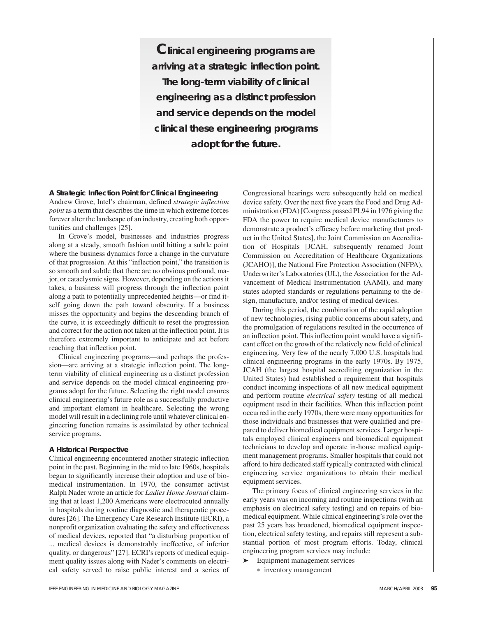**Clinical engineering programs are arriving at a strategic inflection point. The long-term viability of clinical engineering as a distinct profession and service depends on the model clinical these engineering programs adopt for the future.**

#### **A Strategic Inflection Point for Clinical Engineering**

Andrew Grove, Intel's chairman, defined *strategic inflection point* as a term that describes the time in which extreme forces forever alter the landscape of an industry, creating both opportunities and challenges [25].

In Grove's model, businesses and industries progress along at a steady, smooth fashion until hitting a subtle point where the business dynamics force a change in the curvature of that progression. At this "inflection point," the transition is so smooth and subtle that there are no obvious profound, major, or cataclysmic signs. However, depending on the actions it takes, a business will progress through the inflection point along a path to potentially unprecedented heights—or find itself going down the path toward obscurity. If a business misses the opportunity and begins the descending branch of the curve, it is exceedingly difficult to reset the progression and correct for the action not taken at the inflection point. It is therefore extremely important to anticipate and act before reaching that inflection point.

Clinical engineering programs—and perhaps the profession—are arriving at a strategic inflection point. The longterm viability of clinical engineering as a distinct profession and service depends on the model clinical engineering programs adopt for the future. Selecting the right model ensures clinical engineering's future role as a successfully productive and important element in healthcare. Selecting the wrong model will result in a declining role until whatever clinical engineering function remains is assimilated by other technical service programs.

#### **A Historical Perspective**

Clinical engineering encountered another strategic inflection point in the past. Beginning in the mid to late 1960s, hospitals began to significantly increase their adoption and use of biomedical instrumentation. In 1970, the consumer activist Ralph Nader wrote an article for *Ladies Home Journal* claiming that at least 1,200 Americans were electrocuted annually in hospitals during routine diagnostic and therapeutic procedures [26]. The Emergency Care Research Institute (ECRI), a nonprofit organization evaluating the safety and effectiveness of medical devices, reported that "a disturbing proportion of ... medical devices is demonstrably ineffective, of inferior quality, or dangerous" [27]. ECRI's reports of medical equipment quality issues along with Nader's comments on electrical safety served to raise public interest and a series of

Congressional hearings were subsequently held on medical device safety. Over the next five years the Food and Drug Administration (FDA) [Congress passed PL94 in 1976 giving the FDA the power to require medical device manufacturers to demonstrate a product's efficacy before marketing that product in the United States], the Joint Commission on Accreditation of Hospitals [JCAH, subsequently renamed Joint Commission on Accreditation of Healthcare Organizations (JCAHO)], the National Fire Protection Association (NFPA), Underwriter's Laboratories (UL), the Association for the Advancement of Medical Instrumentation (AAMI), and many states adopted standards or regulations pertaining to the design, manufacture, and/or testing of medical devices.

During this period, the combination of the rapid adoption of new technologies, rising public concerns about safety, and the promulgation of regulations resulted in the occurrence of an inflection point. This inflection point would have a significant effect on the growth of the relatively new field of clinical engineering. Very few of the nearly 7,000 U.S. hospitals had clinical engineering programs in the early 1970s. By 1975, JCAH (the largest hospital accrediting organization in the United States) had established a requirement that hospitals conduct incoming inspections of all new medical equipment and perform routine *electrical safety* testing of all medical equipment used in their facilities. When this inflection point occurred in the early 1970s, there were many opportunities for those individuals and businesses that were qualified and prepared to deliver biomedical equipment services. Larger hospitals employed clinical engineers and biomedical equipment technicians to develop and operate in-house medical equipment management programs. Smaller hospitals that could not afford to hire dedicated staff typically contracted with clinical engineering service organizations to obtain their medical equipment services.

The primary focus of clinical engineering services in the early years was on incoming and routine inspections (with an emphasis on electrical safety testing) and on repairs of biomedical equipment. While clinical engineering's role over the past 25 years has broadened, biomedical equipment inspection, electrical safety testing, and repairs still represent a substantial portion of most program efforts. Today, clinical engineering program services may include:

- ➤ Equipment management services
	- inventory management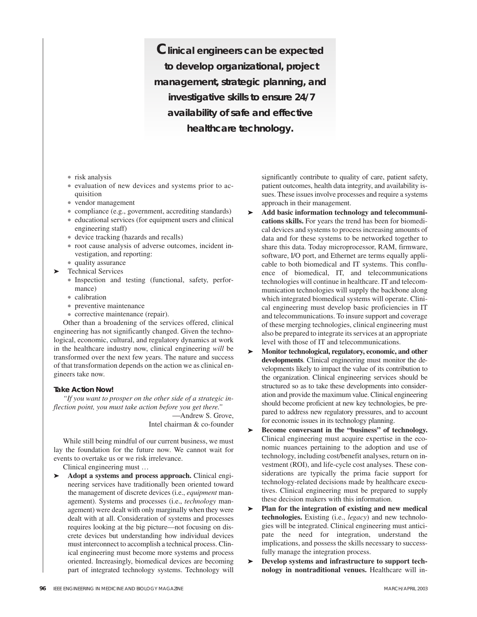**Clinical engineers can be expected to develop organizational, project management, strategic planning, and investigative skills to ensure 24/7 availability of safe and effective healthcare technology.**

- risk analysis
- evaluation of new devices and systems prior to acquisition
- vendor management
- compliance (e.g., government, accrediting standards)
- educational services (for equipment users and clinical engineering staff)
- device tracking (hazards and recalls)
- root cause analysis of adverse outcomes, incident investigation, and reporting:
- quality assurance
- ➤ Technical Services
	- Inspection and testing (functional, safety, performance)
	- calibration
	- preventive maintenance
	- corrective maintenance (repair).

Other than a broadening of the services offered, clinical engineering has not significantly changed. Given the technological, economic, cultural, and regulatory dynamics at work in the healthcare industry now, clinical engineering *will* be transformed over the next few years. The nature and success of that transformation depends on the action we as clinical engineers take now.

#### **Take Action Now!**

*"If you want to prosper on the other side of a strategic inflection point, you must take action before you get there."* Andrew S. Grove, Intel chairman & co-founder

While still being mindful of our current business, we must lay the foundation for the future now. We cannot wait for events to overtake us or we risk irrelevance.

Clinical engineering must …

➤ **Adopt a systems and process approach.** Clinical engineering services have traditionally been oriented toward the management of discrete devices (i.e., *equipment* management). Systems and processes (i.e., *technology* management) were dealt with only marginally when they were dealt with at all. Consideration of systems and processes requires looking at the big picture—not focusing on discrete devices but understanding how individual devices must interconnect to accomplish a technical process. Clinical engineering must become more systems and process oriented. Increasingly, biomedical devices are becoming part of integrated technology systems. Technology will

significantly contribute to quality of care, patient safety, patient outcomes, health data integrity, and availability issues. These issues involve processes and require a systems approach in their management.

- ➤ **Add basic information technology and telecommunications skills.** For years the trend has been for biomedical devices and systems to process increasing amounts of data and for these systems to be networked together to share this data. Today microprocessor, RAM, firmware, software, I/O port, and Ethernet are terms equally applicable to both biomedical and IT systems. This confluence of biomedical, IT, and telecommunications technologies will continue in healthcare. IT and telecommunication technologies will supply the backbone along which integrated biomedical systems will operate. Clinical engineering must develop basic proficiencies in IT and telecommunications. To insure support and coverage of these merging technologies, clinical engineering must also be prepared to integrate its services at an appropriate level with those of IT and telecommunications.
- ➤ **Monitor technological, regulatory, economic, and other developments**. Clinical engineering must monitor the developments likely to impact the value of its contribution to the organization. Clinical engineering services should be structured so as to take these developments into consideration and provide the maximum value. Clinical engineering should become proficient at new key technologies, be prepared to address new regulatory pressures, and to account for economic issues in its technology planning.
- ➤ **Become conversant in the "business" of technology.** Clinical engineering must acquire expertise in the economic nuances pertaining to the adoption and use of technology, including cost/benefit analyses, return on investment (ROI), and life-cycle cost analyses. These considerations are typically the prima facie support for technology-related decisions made by healthcare executives. Clinical engineering must be prepared to supply these decision makers with this information.
- Plan for the integration of existing and new medical **technologies.** Existing (i.e., *legacy*) and new technologies will be integrated. Clinical engineering must anticipate the need for integration, understand the implications, and possess the skills necessary to successfully manage the integration process.
- ➤ **Develop systems and infrastructure to support technology in nontraditional venues.** Healthcare will in-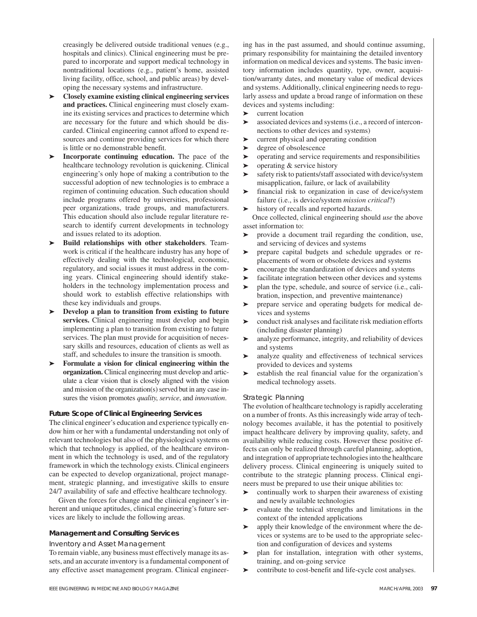creasingly be delivered outside traditional venues (e.g., hospitals and clinics). Clinical engineering must be prepared to incorporate and support medical technology in nontraditional locations (e.g., patient's home, assisted living facility, office, school, and public areas) by developing the necessary systems and infrastructure.

- ➤ **Closely examine existing clinical engineering services and practices.** Clinical engineering must closely examine its existing services and practices to determine which are necessary for the future and which should be discarded. Clinical engineering cannot afford to expend resources and continue providing services for which there is little or no demonstrable benefit.
- ➤ **Incorporate continuing education.** The pace of the healthcare technology revolution is quickening. Clinical engineering's only hope of making a contribution to the successful adoption of new technologies is to embrace a regimen of continuing education. Such education should include programs offered by universities, professional peer organizations, trade groups, and manufacturers. This education should also include regular literature research to identify current developments in technology and issues related to its adoption.
- ➤ **Build relationships with other stakeholders**. Teamwork is critical if the healthcare industry has any hope of effectively dealing with the technological, economic, regulatory, and social issues it must address in the coming years. Clinical engineering should identify stakeholders in the technology implementation process and should work to establish effective relationships with these key individuals and groups.
- ➤ **Develop a plan to transition from existing to future services.** Clinical engineering must develop and begin implementing a plan to transition from existing to future services. The plan must provide for acquisition of necessary skills and resources, education of clients as well as staff, and schedules to insure the transition is smooth.
- ➤ **Formulate a vision for clinical engineering within the organization.** Clinical engineering must develop and articulate a clear vision that is closely aligned with the vision and mission of the organization(s) served but in any case insures the vision promotes *quality*, *service*, and *innovation*.

#### **Future Scope of Clinical Engineering Services**

The clinical engineer's education and experience typically endow him or her with a fundamental understanding not only of relevant technologies but also of the physiological systems on which that technology is applied, of the healthcare environment in which the technology is used, and of the regulatory framework in which the technology exists. Clinical engineers can be expected to develop organizational, project management, strategic planning, and investigative skills to ensure 24/7 availability of safe and effective healthcare technology.

Given the forces for change and the clinical engineer's inherent and unique aptitudes, clinical engineering's future services are likely to include the following areas.

#### *Management and Consulting Services*

#### *Inventory and Asset Management*

To remain viable, any business must effectively manage its assets, and an accurate inventory is a fundamental component of any effective asset management program. Clinical engineering has in the past assumed, and should continue assuming, primary responsibility for maintaining the detailed inventory information on medical devices and systems. The basic inventory information includes quantity, type, owner, acquisition/warranty dates, and monetary value of medical devices and systems. Additionally, clinical engineering needs to regularly assess and update a broad range of information on these devices and systems including:

- ➤ current location
- ➤ associated devices and systems (i.e., a record of interconnections to other devices and systems)
- ➤ current physical and operating condition
- degree of obsolescence
- ➤ operating and service requirements and responsibilities
- ➤ operating & service history
- ➤ safety risk to patients/staff associated with device/system misapplication, failure, or lack of availability
- ➤ financial risk to organization in case of device/system failure (i.e., is device/system *mission critical*?)
- ➤ history of recalls and reported hazards.

Once collected, clinical engineering should *use* the above asset information to:

- ➤ provide a document trail regarding the condition, use, and servicing of devices and systems
- ➤ prepare capital budgets and schedule upgrades or replacements of worn or obsolete devices and systems
- ➤ encourage the standardization of devices and systems
- ➤ facilitate integration between other devices and systems
- ➤ plan the type, schedule, and source of service (i.e., calibration, inspection, and preventive maintenance)
- ➤ prepare service and operating budgets for medical devices and systems
- ➤ conduct risk analyses and facilitate risk mediation efforts (including disaster planning)
- ➤ analyze performance, integrity, and reliability of devices and systems
- ➤ analyze quality and effectiveness of technical services provided to devices and systems
- ➤ establish the real financial value for the organization's medical technology assets.

#### *Strategic Planning*

The evolution of healthcare technology is rapidly accelerating on a number of fronts. As this increasingly wide array of technology becomes available, it has the potential to positively impact healthcare delivery by improving quality, safety, and availability while reducing costs. However these positive effects can only be realized through careful planning, adoption, and integration of appropriate technologies into the healthcare delivery process. Clinical engineering is uniquely suited to contribute to the strategic planning process. Clinical engineers must be prepared to use their unique abilities to:

- ➤ continually work to sharpen their awareness of existing and newly available technologies
- ➤ evaluate the technical strengths and limitations in the context of the intended applications
- ➤ apply their knowledge of the environment where the devices or systems are to be used to the appropriate selection and configuration of devices and systems
- ➤ plan for installation, integration with other systems, training, and on-going service
- ➤ contribute to cost-benefit and life-cycle cost analyses.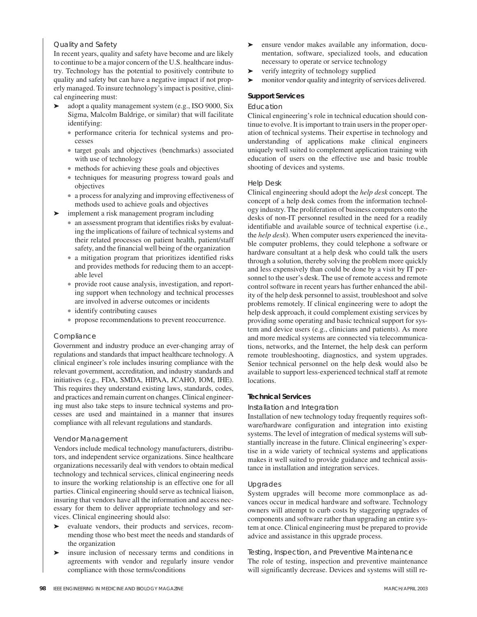#### *Quality and Safety*

In recent years, quality and safety have become and are likely to continue to be a major concern of the U.S. healthcare industry. Technology has the potential to positively contribute to quality and safety but can have a negative impact if not properly managed. To insure technology's impact is positive, clinical engineering must:

- ➤ adopt a quality management system (e.g., ISO 9000, Six Sigma, Malcolm Baldrige, or similar) that will facilitate identifying:
	- performance criteria for technical systems and processes
	- target goals and objectives (benchmarks) associated with use of technology
	- methods for achieving these goals and objectives
	- techniques for measuring progress toward goals and objectives
	- a process for analyzing and improving effectiveness of methods used to achieve goals and objectives
- ➤ implement a risk management program including
	- an assessment program that identifies risks by evaluating the implications of failure of technical systems and their related processes on patient health, patient/staff safety, and the financial well being of the organization
	- a mitigation program that prioritizes identified risks and provides methods for reducing them to an acceptable level
	- provide root cause analysis, investigation, and reporting support when technology and technical processes are involved in adverse outcomes or incidents
	- identify contributing causes
	- propose recommendations to prevent reoccurrence.

#### *Compliance*

Government and industry produce an ever-changing array of regulations and standards that impact healthcare technology. A clinical engineer's role includes insuring compliance with the relevant government, accreditation, and industry standards and initiatives (e.g., FDA, SMDA, HIPAA, JCAHO, IOM, IHE). This requires they understand existing laws, standards, codes, and practices and remain current on changes. Clinical engineering must also take steps to insure technical systems and processes are used and maintained in a manner that insures compliance with all relevant regulations and standards.

#### *Vendor Management*

Vendors include medical technology manufacturers, distributors, and independent service organizations. Since healthcare organizations necessarily deal with vendors to obtain medical technology and technical services, clinical engineering needs to insure the working relationship is an effective one for all parties. Clinical engineering should serve as technical liaison, insuring that vendors have all the information and access necessary for them to deliver appropriate technology and services. Clinical engineering should also:

- ➤ evaluate vendors, their products and services, recommending those who best meet the needs and standards of the organization
- ➤ insure inclusion of necessary terms and conditions in agreements with vendor and regularly insure vendor compliance with those terms/conditions
- ➤ ensure vendor makes available any information, documentation, software, specialized tools, and education necessary to operate or service technology
- ➤ verify integrity of technology supplied
- monitor vendor quality and integrity of services delivered.

#### *Support Services*

#### *Education*

Clinical engineering's role in technical education should continue to evolve. It is important to train users in the proper operation of technical systems. Their expertise in technology and understanding of applications make clinical engineers uniquely well suited to complement application training with education of users on the effective use and basic trouble shooting of devices and systems.

#### *Help Desk*

Clinical engineering should adopt the *help desk* concept. The concept of a help desk comes from the information technology industry. The proliferation of business computers onto the desks of non-IT personnel resulted in the need for a readily identifiable and available source of technical expertise (i.e., the *help desk*). When computer users experienced the inevitable computer problems, they could telephone a software or hardware consultant at a help desk who could talk the users through a solution, thereby solving the problem more quickly and less expensively than could be done by a visit by IT personnel to the user's desk. The use of remote access and remote control software in recent years has further enhanced the ability of the help desk personnel to assist, troubleshoot and solve problems remotely. If clinical engineering were to adopt the help desk approach, it could complement existing services by providing some operating and basic technical support for system and device users (e.g., clinicians and patients). As more and more medical systems are connected via telecommunications, networks, and the Internet, the help desk can perform remote troubleshooting, diagnostics, and system upgrades. Senior technical personnel on the help desk would also be available to support less-experienced technical staff at remote locations.

#### *Technical Services*

#### *Installation and Integration*

Installation of new technology today frequently requires software/hardware configuration and integration into existing systems. The level of integration of medical systems will substantially increase in the future. Clinical engineering's expertise in a wide variety of technical systems and applications makes it well suited to provide guidance and technical assistance in installation and integration services.

#### *Upgrades*

System upgrades will become more commonplace as advances occur in medical hardware and software. Technology owners will attempt to curb costs by staggering upgrades of components and software rather than upgrading an entire system at once. Clinical engineering must be prepared to provide advice and assistance in this upgrade process.

#### *Testing, Inspection, and Preventive Maintenance*

The role of testing, inspection and preventive maintenance will significantly decrease. Devices and systems will still re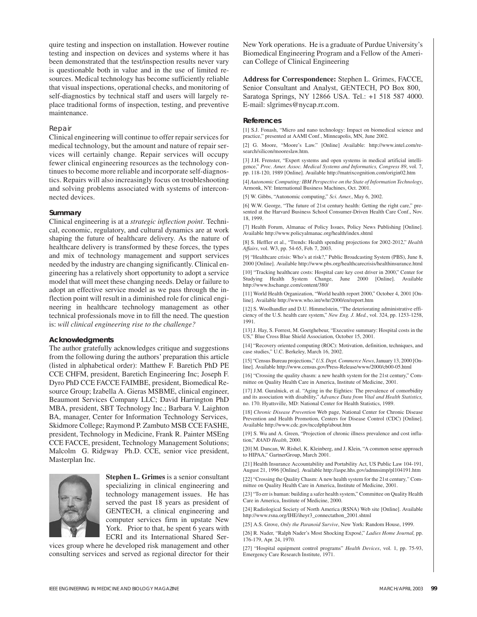quire testing and inspection on installation. However routine testing and inspection on devices and systems where it has been demonstrated that the test/inspection results never vary is questionable both in value and in the use of limited resources. Medical technology has become sufficiently reliable that visual inspections, operational checks, and monitoring of self-diagnostics by technical staff and users will largely replace traditional forms of inspection, testing, and preventive maintenance.

#### *Repair*

Clinical engineering will continue to offer repair services for medical technology, but the amount and nature of repair services will certainly change. Repair services will occupy fewer clinical engineering resources as the technology continues to become more reliable and incorporate self-diagnostics. Repairs will also increasingly focus on troubleshooting and solving problems associated with systems of interconnected devices.

#### **Summary**

Clinical engineering is at a *strategic inflection point*. Technical, economic, regulatory, and cultural dynamics are at work shaping the future of healthcare delivery. As the nature of healthcare delivery is transformed by these forces, the types and mix of technology management and support services needed by the industry are changing significantly. Clinical engineering has a relatively short opportunity to adopt a service model that will meet these changing needs. Delay or failure to adopt an effective service model as we pass through the inflection point will result in a diminished role for clinical engineering in healthcare technology management as other technical professionals move in to fill the need. The question is: *will clinical engineering rise to the challenge?*

#### **Acknowledgments**

The author gratefully acknowledges critique and suggestions from the following during the authors' preparation this article (listed in alphabetical order): Matthew F. Baretich PhD PE CCE CHFM, president, Baretich Engineering Inc; Joseph F. Dyro PhD CCE FACCE FAIMBE, president, Biomedical Resource Group; Izabella A. Gieras MSBME, clinical engineer, Beaumont Services Company LLC; David Harrington PhD MBA, president, SBT Technology Inc.; Barbara V. Laighton BA, manager, Center for Information Technology Services, Skidmore College; Raymond P. Zambuto MSB CCE FASHE, president, Technology in Medicine, Frank R. Painter MSEng CCE FACCE, president, Technology Management Solutions; Malcolm G. Ridgway Ph.D. CCE, senior vice president, Masterplan Inc.



**Stephen L. Grimes** is a senior consultant specializing in clinical engineering and technology management issues. He has served the past 18 years as president of GENTECH, a clinical engineering and computer services firm in upstate New York. Prior to that, he spent 6 years with ECRI and its International Shared Ser-

vices group where he developed risk management and other consulting services and served as regional director for their New York operations. He is a graduate of Purdue University's Biomedical Engineering Program and a Fellow of the American College of Clinical Engineering

**Address for Correspondence:** Stephen L. Grimes, FACCE, Senior Consultant and Analyst, GENTECH, PO Box 800, Saratoga Springs, NY 12866 USA. Tel.: +1 518 587 4000. E-mail: slgrimes@nycap.rr.com.

#### **References**

[1] S.J. Fonash, "Micro and nano technology: Impact on biomedical science and practice," presented at AAMI Conf., Minneapolis, MN, June 2002.

[2] G. Moore, "Moore's Law." [Online] Available: http://www.intel.com/research/silicon/mooreslaw.htm.

[3] J.H. Frenster, "Expert systems and open systems in medical artificial intelligence," *Proc. Amer. Assoc. Medical Systems and Informatics, Congress 89*, vol. 7, pp. 118-120, 1989 [Online]. Available http://matrixcognition.com/origin02.htm

[4] *Autonomic Computing: IBM Perspective on the State of Information Technology*, Armonk, NY: International Business Machines, Oct. 2001.

[5] W. Gibbs, "Autonomic computing," *Sci. Amer.*, May 6, 2002.

[6] W.W. George, "The future of 21st century health: Getting the right care," presented at the Harvard Business School Consumer-Driven Health Care Conf., Nov. 18, 1999.

[7] Health Forum, Almanac of Policy Issues, Policy News Publishing [Online]. Available http://www.policyalmanac.org/health/index.shtml

[8] S. Heffler et al., "Trends: Health spending projections for 2002-2012," *Health Affairs*, vol. W3, pp. 54-65, Feb. 7, 2003.

[9] "Healthcare crisis: Who's at risk?," Public Broadcasting System (PBS), June 8, 2000 [Online]. Available http://www.pbs.org/healthcarecrisis/healthinsurance.html

[10] "Tracking healthcare costs: Hospital care key cost driver in 2000," Center for Studying Health System Change, June 2000 [Online]. Available http://www.hschange.com/content/380/

[11] World Health Organization, "World health report 2000," October 4, 2001 [Online]. Available http://www.who.int/whr/2000/en/report.htm

[12] S. Woolhandler and D.U. Himmelstein, "The deteriorating administrative efficiency of the U.S. health care system," *New Eng. J. Med.*, vol. 324, pp. 1253-1258, 1991.

[13] J. Hay, S. Forrest, M. Goetghebeur, "Executive summary: Hospital costs in the US," Blue Cross Blue Shield Association, October 15, 2001.

[14] "Recovery oriented computing (ROC): Motivation, definition, techniques, and case studies," U.C. Berkeley, March 16, 2002.

[15] "Census Bureau projections," *U.S. Dept. Commerce News*, January 13, 2000 [Online]. Available http://www.census.gov/Press-Release/www/2000/cb00-05.html

[16] "Crossing the quality chasm: a new health system for the 21st century," Committee on Quality Health Care in America, Institute of Medicine, 2001.

[17] J.M. Guralnick, et al. "Aging in the Eighties: The prevalence of comorbidity and its association with disability," *Advance Data from Vital and Health Statistics,* no. 170. Hyattsville, MD: National Center for Health Statistics, 1989.

[18] *Chronic Disease Prevention* Web page, National Center for Chronic Disease Prevention and Health Promotion, Centers for Disease Control (CDC) [Online]. Available http://www.cdc.gov/nccdphp/about.htm

[19] S. Wu and A. Green, "Projection of chronic illness prevalence and cost inflation," *RAND Health*, 2000.

[20] M. Duncan, W. Rishel, K. Kleinberg, and J. Klein, "A common sense approach to HIPAA," GartnerGroup, March 2001.

[21] Health Insurance Accountability and Portability Act, US Public Law 104-191, August 21, 1996 [Online]. Available http://aspe.hhs.gov/admnsimp/pl104191.htm

[22] "Crossing the Quality Chasm: A new health system for the 21st century*,"* Committee on Quality Health Care in America, Institute of Medicine, 2001.

[23] "To err is human: building a safer health system," Committee on Quality Health Care in America, Institute of Medicine, 2000.

[24] Radiological Society of North America (RSNA) Web site [Online]. Available http://www.rsna.org/IHE/iheyr3\_connectathon\_2001.shtml

[25] A.S. Grove, *Only the Paranoid Survive*, New York: Random House, 1999.

[26] R. Nader, "Ralph Nader's Most Shocking Exposé," *Ladies Home Journal,* pp. 176-179, Apr. 24, 1970.

[27] "Hospital equipment control programs" *Health Devices*, vol. 1, pp. 75-93, Emergency Care Research Institute, 1971.